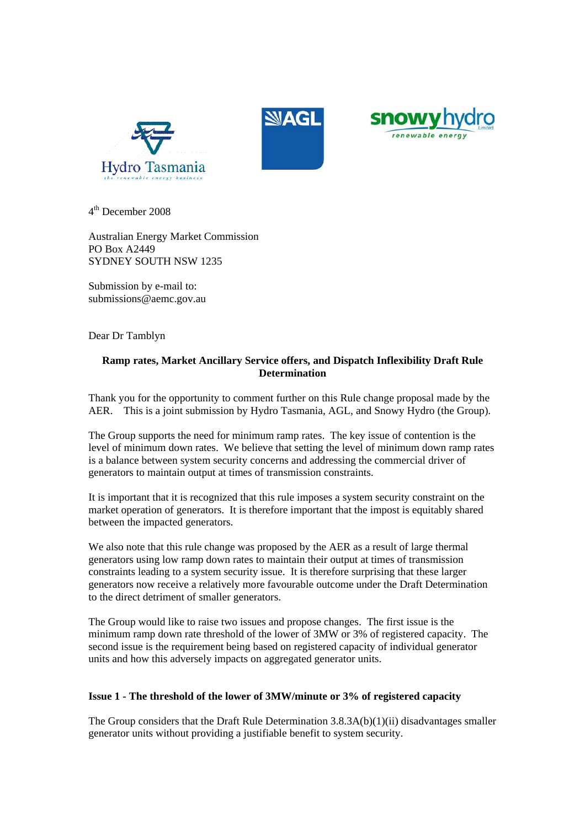





 $4<sup>th</sup>$  December 2008

Australian Energy Market Commission PO Box A2449 SYDNEY SOUTH NSW 1235

Submission by e-mail to: submissions@aemc.gov.au

Dear Dr Tamblyn

# **Ramp rates, Market Ancillary Service offers, and Dispatch Inflexibility Draft Rule Determination**

Thank you for the opportunity to comment further on this Rule change proposal made by the AER. This is a joint submission by Hydro Tasmania, AGL, and Snowy Hydro (the Group).

The Group supports the need for minimum ramp rates. The key issue of contention is the level of minimum down rates. We believe that setting the level of minimum down ramp rates is a balance between system security concerns and addressing the commercial driver of generators to maintain output at times of transmission constraints.

It is important that it is recognized that this rule imposes a system security constraint on the market operation of generators. It is therefore important that the impost is equitably shared between the impacted generators.

We also note that this rule change was proposed by the AER as a result of large thermal generators using low ramp down rates to maintain their output at times of transmission constraints leading to a system security issue. It is therefore surprising that these larger generators now receive a relatively more favourable outcome under the Draft Determination to the direct detriment of smaller generators.

The Group would like to raise two issues and propose changes. The first issue is the minimum ramp down rate threshold of the lower of 3MW or 3% of registered capacity. The second issue is the requirement being based on registered capacity of individual generator units and how this adversely impacts on aggregated generator units.

## **Issue 1 - The threshold of the lower of 3MW/minute or 3% of registered capacity**

The Group considers that the Draft Rule Determination  $3.8.3A(b)(1)(ii)$  disadvantages smaller generator units without providing a justifiable benefit to system security.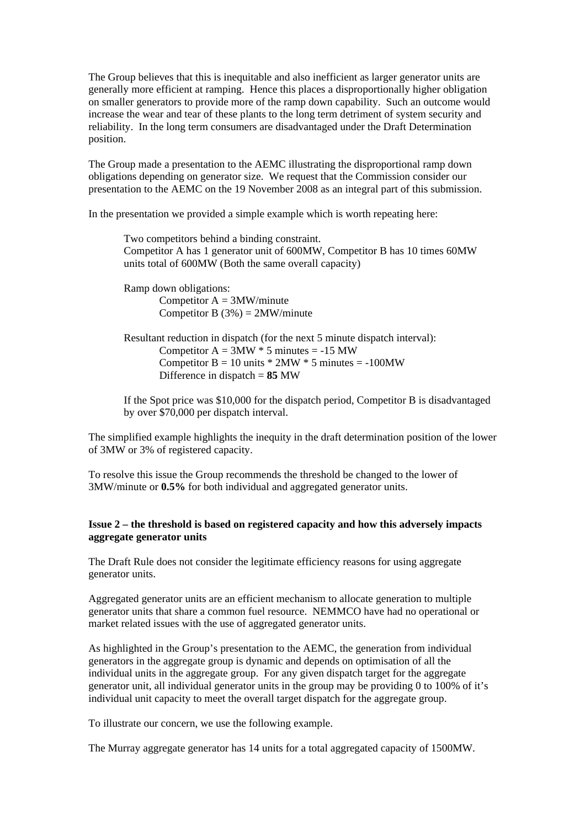The Group believes that this is inequitable and also inefficient as larger generator units are generally more efficient at ramping. Hence this places a disproportionally higher obligation on smaller generators to provide more of the ramp down capability. Such an outcome would increase the wear and tear of these plants to the long term detriment of system security and reliability. In the long term consumers are disadvantaged under the Draft Determination position.

The Group made a presentation to the AEMC illustrating the disproportional ramp down obligations depending on generator size. We request that the Commission consider our presentation to the AEMC on the 19 November 2008 as an integral part of this submission.

In the presentation we provided a simple example which is worth repeating here:

Two competitors behind a binding constraint. Competitor A has 1 generator unit of 600MW, Competitor B has 10 times 60MW units total of 600MW (Both the same overall capacity)

Ramp down obligations: Competitor  $A = 3MW/minute$ Competitor B  $(3%) = 2MW/minute$ 

Resultant reduction in dispatch (for the next 5 minute dispatch interval): Competitor  $A = 3MW * 5$  minutes = -15 MW Competitor  $B = 10$  units  $* 2MW * 5$  minutes = -100MW Difference in dispatch = **85** MW

If the Spot price was \$10,000 for the dispatch period, Competitor B is disadvantaged by over \$70,000 per dispatch interval.

The simplified example highlights the inequity in the draft determination position of the lower of 3MW or 3% of registered capacity.

To resolve this issue the Group recommends the threshold be changed to the lower of 3MW/minute or **0.5%** for both individual and aggregated generator units.

## **Issue 2 – the threshold is based on registered capacity and how this adversely impacts aggregate generator units**

The Draft Rule does not consider the legitimate efficiency reasons for using aggregate generator units.

Aggregated generator units are an efficient mechanism to allocate generation to multiple generator units that share a common fuel resource. NEMMCO have had no operational or market related issues with the use of aggregated generator units.

As highlighted in the Group's presentation to the AEMC, the generation from individual generators in the aggregate group is dynamic and depends on optimisation of all the individual units in the aggregate group. For any given dispatch target for the aggregate generator unit, all individual generator units in the group may be providing 0 to 100% of it's individual unit capacity to meet the overall target dispatch for the aggregate group.

To illustrate our concern, we use the following example.

The Murray aggregate generator has 14 units for a total aggregated capacity of 1500MW.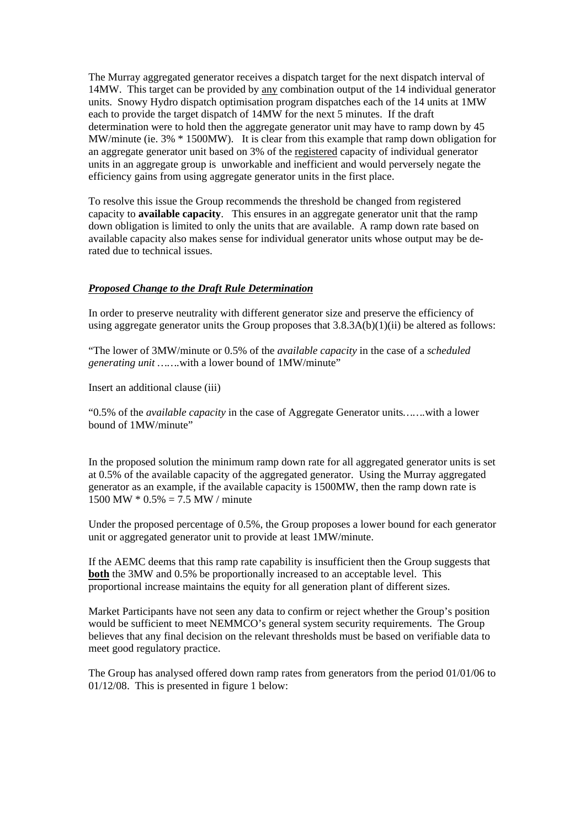The Murray aggregated generator receives a dispatch target for the next dispatch interval of 14MW. This target can be provided by any combination output of the 14 individual generator units. Snowy Hydro dispatch optimisation program dispatches each of the 14 units at 1MW each to provide the target dispatch of 14MW for the next 5 minutes. If the draft determination were to hold then the aggregate generator unit may have to ramp down by 45 MW/minute (ie. 3% \* 1500MW). It is clear from this example that ramp down obligation for an aggregate generator unit based on 3% of the registered capacity of individual generator units in an aggregate group is unworkable and inefficient and would perversely negate the efficiency gains from using aggregate generator units in the first place.

To resolve this issue the Group recommends the threshold be changed from registered capacity to **available capacity**. This ensures in an aggregate generator unit that the ramp down obligation is limited to only the units that are available. A ramp down rate based on available capacity also makes sense for individual generator units whose output may be derated due to technical issues.

## *Proposed Change to the Draft Rule Determination*

In order to preserve neutrality with different generator size and preserve the efficiency of using aggregate generator units the Group proposes that  $3.8.3A(b)(1)(ii)$  be altered as follows:

"The lower of 3MW/minute or 0.5% of the *available capacity* in the case of a *scheduled generating unit …….*with a lower bound of 1MW/minute"

Insert an additional clause (iii)

"0.5% of the *available capacity* in the case of Aggregate Generator units*…….*with a lower bound of 1MW/minute"

In the proposed solution the minimum ramp down rate for all aggregated generator units is set at 0.5% of the available capacity of the aggregated generator. Using the Murray aggregated generator as an example, if the available capacity is 1500MW, then the ramp down rate is 1500 MW  $*$  0.5% = 7.5 MW / minute

Under the proposed percentage of 0.5%, the Group proposes a lower bound for each generator unit or aggregated generator unit to provide at least 1MW/minute.

If the AEMC deems that this ramp rate capability is insufficient then the Group suggests that **both** the 3MW and 0.5% be proportionally increased to an acceptable level. This proportional increase maintains the equity for all generation plant of different sizes.

Market Participants have not seen any data to confirm or reject whether the Group's position would be sufficient to meet NEMMCO's general system security requirements. The Group believes that any final decision on the relevant thresholds must be based on verifiable data to meet good regulatory practice.

The Group has analysed offered down ramp rates from generators from the period 01/01/06 to 01/12/08. This is presented in figure 1 below: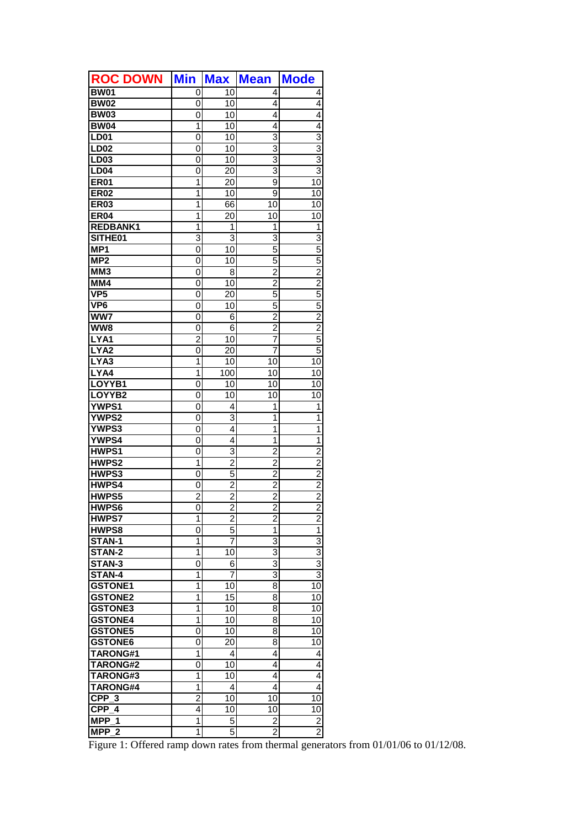| <b>ROC DOWN</b>              | <b>Min</b>     | <b>Max</b>       | <b>Mean</b>    | <b>Mode</b>               |
|------------------------------|----------------|------------------|----------------|---------------------------|
| <b>BW01</b>                  | 0              | 10               | 4              | 4                         |
| <b>BW02</b>                  | 0              | 10               | 4              | 4                         |
| <b>BW03</b>                  | 0              | $\overline{10}$  | 4              | 4                         |
| <b>BW04</b>                  | 1              | 10               | 4              | 4                         |
| <b>LD01</b>                  | 0              | 10               | 3              | 3                         |
| <b>LD02</b>                  | 0              | 10               | 3              | 3                         |
| LD03                         | 0              | 10               | $\overline{3}$ | 3                         |
| <b>LD04</b>                  | 0              | 20               | 3              | $\overline{\overline{3}}$ |
| <b>ER01</b>                  | $\overline{1}$ | 20               | 9              | $\overline{10}$           |
| <b>ER02</b>                  | $\overline{1}$ | 10               | 9              | 10                        |
| <b>ER03</b>                  | 1              | 66               | 10             | 10                        |
| <b>ER04</b>                  | 1              | $\overline{20}$  | 10             | $\overline{10}$           |
| <b>REDBANK1</b>              | 1              | 1                | 1              | 1                         |
| SITHE01                      | 3              | 3                | 3              | 3                         |
| MP <sub>1</sub>              | 0              | 10               | 5              | 5                         |
| MP2                          | 0              | 10               | 5              | 5                         |
| MM <sub>3</sub>              | 0              | 8                | $\overline{2}$ | $\overline{2}$            |
| MM4                          | 0              | 10               | $\overline{2}$ | $\overline{2}$            |
| VP5                          | 0              | 20               | 5              | 5                         |
| VP <sub>6</sub>              | 0              | 10               | 5              | 5                         |
| $\overline{\text{WW7}}$      | $\mathbf 0$    | 6                | $\overline{2}$ | $\overline{2}$            |
| $\overline{\textsf{ww}}$ 8   | 0              | 6                | $\overline{c}$ | $\overline{2}$            |
| LYA1                         | $\overline{2}$ | 10               | 7              | 5                         |
| LYA <sub>2</sub>             | 0              | 20               | 7              | 5                         |
| LYA3                         | 1              | $\overline{10}$  | 10             | 10                        |
| LYA4                         | 1              | $\overline{1}00$ | 10             | 10                        |
| LOYYB1                       | 0              | 10               | 10             | 10                        |
| LOYYB2                       | 0              | 10               | 10             | 10                        |
| <b>YWPS1</b>                 | 0              | 4                | 1              | 1                         |
| <b>YWPS2</b>                 | 0              | $\overline{3}$   | 1              | 1                         |
| <b>YWPS3</b>                 | 0              | 4                | 1              | $\overline{1}$            |
| <b>YWPS4</b>                 | 0              | 4                | 1              | 1                         |
| HWPS1                        | 0              | 3                | $\overline{c}$ | $\overline{2}$            |
| <b>HWPS2</b>                 | 1              | $\overline{2}$   | $\overline{2}$ | $\overline{2}$            |
| HWPS3                        | 0              | 5                | $\overline{c}$ | $\overline{2}$            |
| HWPS4                        | 0              | $\overline{2}$   | $\overline{2}$ | $\overline{2}$            |
| HWPS5                        | $\overline{c}$ | $\overline{2}$   | $\overline{2}$ | $\frac{2}{2}$             |
| HWPS6                        | 0              | $\overline{2}$   | $\overline{2}$ |                           |
| <b>HWPS7</b>                 | 1              | $\overline{2}$   | $\overline{c}$ | $\overline{c}$            |
| HWPS8                        | 0              | 5                | 1              | $\overline{1}$            |
| STAN-1                       | 1              | 7                | 3              | 3                         |
| STAN-2                       | 1              | 10               | 3              | $\overline{3}$            |
| STAN-3                       | 0              | 6                | 3              | $\overline{3}$            |
| STAN-4                       | 1              | 7                | 3              | $\overline{3}$            |
| <b>GSTONE1</b>               | 1              | 10               | 8              | 10                        |
| <b>GSTONE2</b>               | 1              | 15               | 8              | 10                        |
| <b>GSTONE3</b>               | 1              | 10               | 8              | 10                        |
| <b>GSTONE4</b>               | 1              | 10               | 8              | 10                        |
| <b>GSTONE5</b>               | 0              | 10               | 8              | 10                        |
| <b>GSTONE6</b>               | 0              | 20               | 8              | 10                        |
| TARONG#1                     | 1              | 4                | 4              | 4                         |
| TARONG#2                     | 0              | 10               | 4              | 4                         |
| TARONG#3                     | 1              | 10               | 4              | 4                         |
| TARONG#4                     | 1              | 4                | 4              | 4                         |
| $CPP_3$                      | $\overline{c}$ | 10               | 10             | 10                        |
| $CPP$ 4                      | 4              | 10               | 10             | 10                        |
| MPP <sub>1</sub>             | 1              | 5                | 2              | $\overline{c}$            |
| <b>MPP</b><br>$\overline{2}$ | 1              | 5                | 2              | $\overline{2}$            |

Figure 1: Offered ramp down rates from thermal generators from 01/01/06 to 01/12/08.